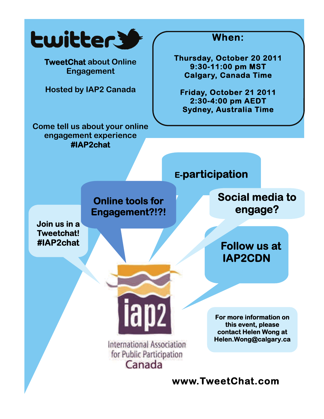

**Engagement** 

**Hosted by IAP2 Canada** 

**Come tell us about your online engagement experience #IAP2chat**

### **When:**

 **Thursday, October 20 2011 9:30-11:00 pm MST Calgary, Canada Time** 

**Friday, October 21 2011 2:30-4:00 pm AEDT Sydney, Australia Time** 



**www.TweetChat.com**